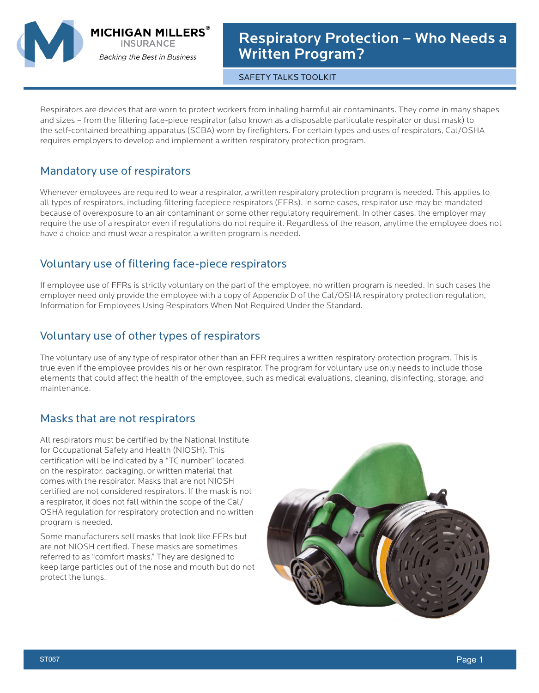

**MICHIGAN MILLERS® INSURANCE** 

**Backing the Best in Business** 

Respiratory Protection – Who Needs a Written Program?

SAFETY TALKS TOOLKIT

Respirators are devices that are worn to protect workers from inhaling harmful air contaminants. They come in many shapes and sizes – from the filtering face-piece respirator (also known as a disposable particulate respirator or dust mask) to the self-contained breathing apparatus (SCBA) worn by firefighters. For certain types and uses of respirators, Cal/OSHA requires employers to develop and implement a written respiratory protection program.

## Mandatory use of respirators

Whenever employees are required to wear a respirator, a written respiratory protection program is needed. This applies to all types of respirators, including filtering facepiece respirators (FFRs). In some cases, respirator use may be mandated because of overexposure to an air contaminant or some other regulatory requirement. In other cases, the employer may require the use of a respirator even if regulations do not require it. Regardless of the reason, anytime the employee does not have a choice and must wear a respirator, a written program is needed.

## Voluntary use of filtering face-piece respirators

If employee use of FFRs is strictly voluntary on the part of the employee, no written program is needed. In such cases the employer need only provide the employee with a copy of Appendix D of the Cal/OSHA respiratory protection regulation, Information for Employees Using Respirators When Not Required Under the Standard.

## Voluntary use of other types of respirators

The voluntary use of any type of respirator other than an FFR requires a written respiratory protection program. This is true even if the employee provides his or her own respirator. The program for voluntary use only needs to include those elements that could affect the health of the employee, such as medical evaluations, cleaning, disinfecting, storage, and maintenance.

## Masks that are not respirators

All respirators must be certified by the National Institute for Occupational Safety and Health (NIOSH). This certification will be indicated by a "TC number" located on the respirator, packaging, or written material that comes with the respirator. Masks that are not NIOSH certified are not considered respirators. If the mask is not a respirator, it does not fall within the scope of the Cal/ OSHA regulation for respiratory protection and no written program is needed.

Some manufacturers sell masks that look like FFRs but are not NIOSH certified. These masks are sometimes referred to as "comfort masks." They are designed to keep large particles out of the nose and mouth but do not protect the lungs.